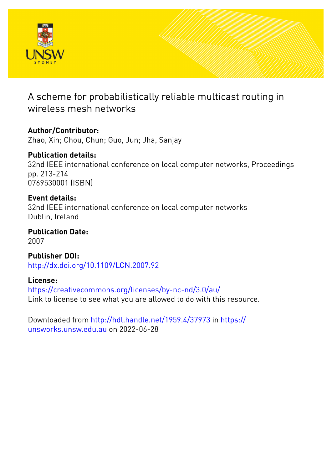

# A scheme for probabilistically reliable multicast routing in wireless mesh networks

**Author/Contributor:** Zhao, Xin; Chou, Chun; Guo, Jun; Jha, Sanjay

**Publication details:** 32nd IEEE international conference on local computer networks, Proceedings pp. 213-214 0769530001 (ISBN)

**Event details:** 32nd IEEE international conference on local computer networks Dublin, Ireland

**Publication Date:** 2007

**Publisher DOI:** [http://dx.doi.org/10.1109/LCN.2007.92](http://dx.doi.org/http://dx.doi.org/10.1109/LCN.2007.92)

**License:** <https://creativecommons.org/licenses/by-nc-nd/3.0/au/> Link to license to see what you are allowed to do with this resource.

Downloaded from <http://hdl.handle.net/1959.4/37973> in [https://](https://unsworks.unsw.edu.au) [unsworks.unsw.edu.au](https://unsworks.unsw.edu.au) on 2022-06-28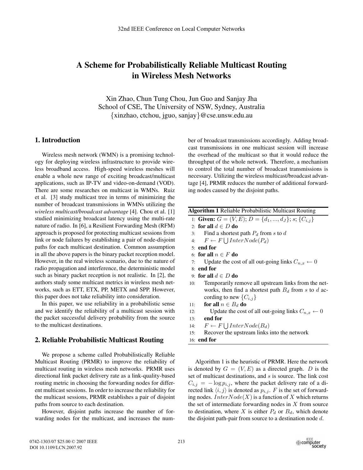## **A Scheme for Probabilistically Reliable Multicast Routing in Wireless Mesh Networks**

Xin Zhao, Chun Tung Chou, Jun Guo and Sanjay Jha School of CSE, The University of NSW, Sydney, Australia {xinzhao, ctchou, jguo, sanjay}@cse.unsw.edu.au

### **1. Introduction**

Wireless mesh network (WMN) is a promising technology for deploying wireless infrastructure to provide wireless broadband access. High-speed wireless meshes will enable a whole new range of exciting broadcast/multicast applications, such as IP-TV and video-on-demand (VOD). There are some researches on multicast in WMNs. Ruiz et al. [3] study multicast tree in terms of minimizing the number of broadcast transmissions in WMNs utilizing the *wireless multicast/broadcast advantage* [4]. Chou et al. [1] studied minimizing broadcast latency using the multi-rate nature of radio. In [6], a Resilient Forwarding Mesh (RFM) approach is proposed for protecting multicast sessions from link or node failures by establishing a pair of node-disjoint paths for each multicast destination. Common assumption in all the above papers is the binary packet reception model. However, in the real wireless scenario, due to the nature of radio propagation and interference, the deterministic model such as binary packet reception is not realistic. In [2], the authors study some multicast metrics in wireless mesh networks, such as ETT, ETX, PP, METX and SPP. However, this paper does not take reliability into consideration.

In this paper, we use reliability in a probabilistic sense and we identify the reliability of a multicast session with the packet successful delivery probability from the source to the multicast destinations.

#### **2. Reliable Probabilistic Multicast Routing**

We propose a scheme called Probabilistically Reliable Multicast Routing (PRMR) to improve the reliability of multicast routing in wireless mesh networks. PRMR uses directional link packet delivery rate as a link-quality-based routing metric in choosing the forwarding nodes for different multicast sessions. In order to increase the reliability for the multicast sessions, PRMR establishes a pair of disjoint paths from source to each destination.

However, disjoint paths increase the number of forwarding nodes for the multicast, and increases the number of broadcast transmissions accordingly. Adding broadcast transmissions in one multicast session will increase the overhead of the multicast so that it would reduce the throughput of the whole network. Therefore, a mechanism to control the total number of broadcast transmissions is necessary. Utilizing the wireless multicast/broadcast advantage [4], PRMR reduces the number of additional forwarding nodes caused by the disjoint paths.

| <b>Algorithm 1</b> Reliable Probabilistic Multicast Routing |                                                               |
|-------------------------------------------------------------|---------------------------------------------------------------|
|                                                             | 1: Given: $G = (V, E); D = \{d_1, , d_J\}; s; \{C_{i,j}\}\$   |
|                                                             | 2: for all $d \in D$ do                                       |
| 3:                                                          | Find a shortest path $P_d$ from s to d                        |
| 4:                                                          | $F \leftarrow F \cup InterNode(P_d)$                          |
|                                                             | $5:$ end for                                                  |
|                                                             | 6: for all $n \in F$ do                                       |
| 7:                                                          | Update the cost of all out-going links $C_{n,x} \leftarrow 0$ |
|                                                             | $8:$ end for                                                  |
|                                                             | 9: for all $d \in D$ do                                       |
| 10:                                                         | Temporarily remove all upstream links from the net-           |
|                                                             | works, then find a shortest path $B_d$ from s to d ac-        |
|                                                             | cording to new $\{C_{i,j}\}\$                                 |
| 11:                                                         | for all $n \in B_d$ do                                        |
| 12:                                                         | Update the cost of all out-going links $C_{n,x} \leftarrow 0$ |
| 13:                                                         | end for                                                       |
| 14:                                                         | $F \leftarrow F \cup InterNode(B_d)$                          |
| 15:                                                         | Recover the upstream links into the network                   |

16: **end for**

Algorithm 1 is the heuristic of PRMR. Here the network is denoted by  $G = (V, E)$  as a directed graph. *D* is the set of multicast destinations, and *s* is source. The link cost  $C_{i,j} = -\log p_{i,j}$ , where the packet delivery rate of a directed link  $\langle i, j \rangle$  is denoted as  $p_{i,j}$ . F is the set of forwarding nodes. *InterNode*( $X$ ) is a function of  $X$  which returns the set of intermediate forwarding nodes in *X* from source to destination, where *X* is either  $P_d$  or  $B_d$ , which denote the disjoint path-pair from source to a destination node *d*.